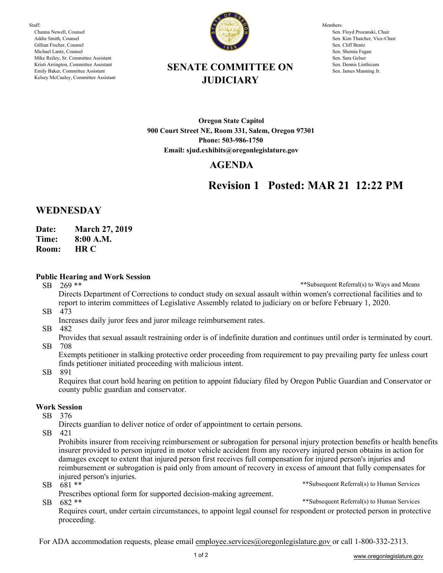Staff: Channa Newell, Counsel Addie Smith, Counsel Gillian Fischer, Counsel Michael Lantz, Counsel Mike Reiley, Sr. Committee Assistant Kristi Arrington, Committee Assistant Emily Baker, Committee Assistant Kelsey McCauley, Committee Assistant



Members: Sen. Floyd Prozanski, Chair Sen. Kim Thatcher, Vice-Chair Sen. Cliff Bentz Sen. Shemia Fagan Sen. Sara Gelser Sen. Dennis Linthicum Sen. James Manning Jr.

## **SENATE COMMITTEE ON JUDICIARY**

**Oregon State Capitol 900 Court Street NE, Room 331, Salem, Oregon 97301 Phone: 503-986-1750 Email: sjud.exhibits@oregonlegislature.gov**

### **AGENDA**

# **Revision 1 Posted: MAR 21 12:22 PM**

### **WEDNESDAY**

**Date: March 27, 2019**

**Time: 8:00 A.M.**

**HR C Room:** 

#### **Public Hearing and Work Session**

SB 269 \*\*

\*\*Subsequent Referral(s) to Ways and Means

SB 473 Directs Department of Corrections to conduct study on sexual assault within women's correctional facilities and to report to interim committees of Legislative Assembly related to judiciary on or before February 1, 2020.

- Increases daily juror fees and juror mileage reimbursement rates.
- SB 482

SB 708 Provides that sexual assault restraining order is of indefinite duration and continues until order is terminated by court.

Exempts petitioner in stalking protective order proceeding from requirement to pay prevailing party fee unless court finds petitioner initiated proceeding with malicious intent.

SB 891

Requires that court hold hearing on petition to appoint fiduciary filed by Oregon Public Guardian and Conservator or county public guardian and conservator.

#### **Work Session**

SB 376

Directs guardian to deliver notice of order of appointment to certain persons.

SB 421

\*\*Subsequent Referral(s) to Human Services Prohibits insurer from receiving reimbursement or subrogation for personal injury protection benefits or health benefits insurer provided to person injured in motor vehicle accident from any recovery injured person obtains in action for damages except to extent that injured person first receives full compensation for injured person's injuries and reimbursement or subrogation is paid only from amount of recovery in excess of amount that fully compensates for injured person's injuries.

SB 681 \*\*

SB 682 \*\* Prescribes optional form for supported decision-making agreement.

\*\*Subsequent Referral(s) to Human Services

Requires court, under certain circumstances, to appoint legal counsel for respondent or protected person in protective proceeding.

For ADA accommodation requests, please email employee.services@oregonlegislature.gov or call 1-800-332-2313.